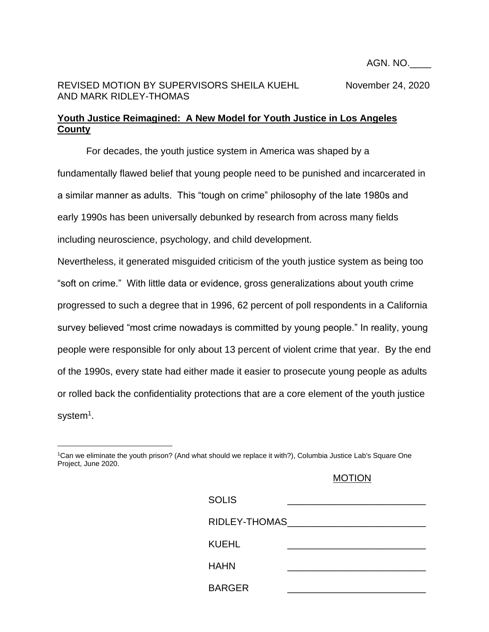AGN. NO.\_\_\_\_

## REVISED MOTION BY SUPERVISORS SHEILA KUEHL November 24, 2020 AND MARK RIDLEY-THOMAS

## **Youth Justice Reimagined: A New Model for Youth Justice in Los Angeles County**

For decades, the youth justice system in America was shaped by a fundamentally flawed belief that young people need to be punished and incarcerated in a similar manner as adults. This "tough on crime" philosophy of the late 1980s and early 1990s has been universally debunked by research from across many fields including neuroscience, psychology, and child development.

Nevertheless, it generated misguided criticism of the youth justice system as being too "soft on crime." With little data or evidence, gross generalizations about youth crime progressed to such a degree that in 1996, 62 percent of poll respondents in a California survey believed "most crime nowadays is committed by young people." In reality, young people were responsible for only about 13 percent of violent crime that year. By the end of the 1990s, every state had either made it easier to prosecute young people as adults or rolled back the confidentiality protections that are a core element of the youth justice system<sup>1</sup>.

## MOTION

| <b>SOLIS</b>  |  |
|---------------|--|
| RIDLEY-THOMAS |  |
| <b>KUEHL</b>  |  |
| <b>HAHN</b>   |  |
| <b>BARGER</b> |  |

<sup>1</sup>Can we eliminate the youth prison? (And what should we replace it with?), Columbia Justice Lab's Square One Project, June 2020.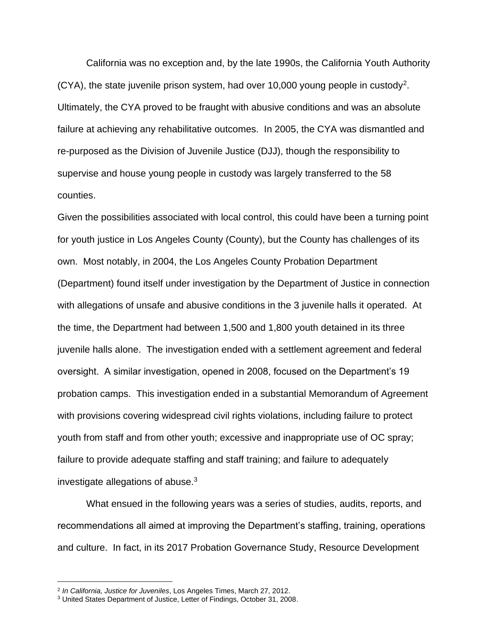California was no exception and, by the late 1990s, the California Youth Authority  $(CYA)$ , the state juvenile prison system, had over 10,000 young people in custody<sup>2</sup>. Ultimately, the CYA proved to be fraught with abusive conditions and was an absolute failure at achieving any rehabilitative outcomes. In 2005, the CYA was dismantled and re-purposed as the Division of Juvenile Justice (DJJ), though the responsibility to supervise and house young people in custody was largely transferred to the 58 counties.

Given the possibilities associated with local control, this could have been a turning point for youth justice in Los Angeles County (County), but the County has challenges of its own. Most notably, in 2004, the Los Angeles County Probation Department (Department) found itself under investigation by the Department of Justice in connection with allegations of unsafe and abusive conditions in the 3 juvenile halls it operated. At the time, the Department had between 1,500 and 1,800 youth detained in its three juvenile halls alone. The investigation ended with a settlement agreement and federal oversight. A similar investigation, opened in 2008, focused on the Department's 19 probation camps. This investigation ended in a substantial Memorandum of Agreement with provisions covering widespread civil rights violations, including failure to protect youth from staff and from other youth; excessive and inappropriate use of OC spray; failure to provide adequate staffing and staff training; and failure to adequately investigate allegations of abuse.<sup>3</sup>

What ensued in the following years was a series of studies, audits, reports, and recommendations all aimed at improving the Department's staffing, training, operations and culture. In fact, in its 2017 Probation Governance Study, Resource Development

<sup>2</sup> *In California, Justice for Juveniles*, Los Angeles Times, March 27, 2012.

<sup>3</sup> United States Department of Justice, Letter of Findings, October 31, 2008.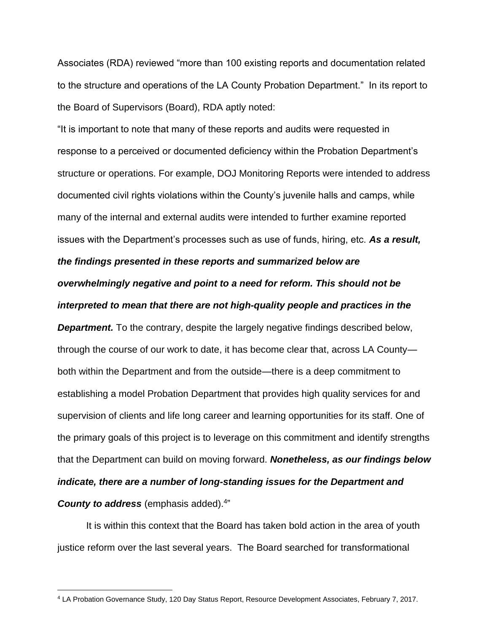Associates (RDA) reviewed "more than 100 existing reports and documentation related to the structure and operations of the LA County Probation Department." In its report to the Board of Supervisors (Board), RDA aptly noted:

"It is important to note that many of these reports and audits were requested in response to a perceived or documented deficiency within the Probation Department's structure or operations. For example, DOJ Monitoring Reports were intended to address documented civil rights violations within the County's juvenile halls and camps, while many of the internal and external audits were intended to further examine reported issues with the Department's processes such as use of funds, hiring, etc. *As a result, the findings presented in these reports and summarized below are overwhelmingly negative and point to a need for reform. This should not be interpreted to mean that there are not high-quality people and practices in the* 

*Department.* To the contrary, despite the largely negative findings described below, through the course of our work to date, it has become clear that, across LA County both within the Department and from the outside—there is a deep commitment to establishing a model Probation Department that provides high quality services for and supervision of clients and life long career and learning opportunities for its staff. One of the primary goals of this project is to leverage on this commitment and identify strengths that the Department can build on moving forward. *Nonetheless, as our findings below indicate, there are a number of long-standing issues for the Department and*  **County to address** (emphasis added).<sup>4"</sup>

It is within this context that the Board has taken bold action in the area of youth justice reform over the last several years. The Board searched for transformational

<sup>4</sup> LA Probation Governance Study, 120 Day Status Report, Resource Development Associates, February 7, 2017.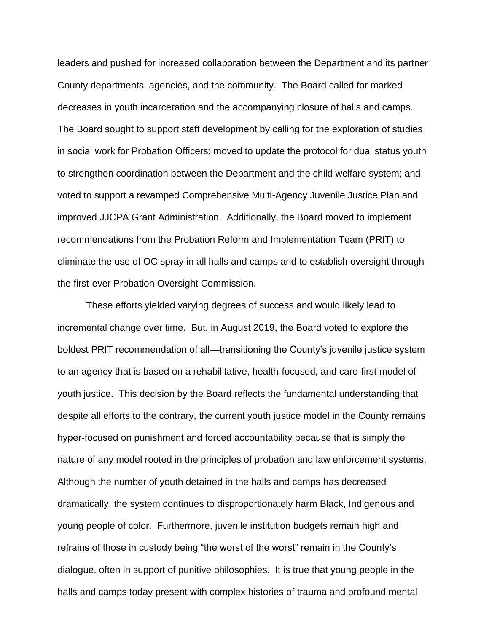leaders and pushed for increased collaboration between the Department and its partner County departments, agencies, and the community. The Board called for marked decreases in youth incarceration and the accompanying closure of halls and camps. The Board sought to support staff development by calling for the exploration of studies in social work for Probation Officers; moved to update the protocol for dual status youth to strengthen coordination between the Department and the child welfare system; and voted to support a revamped Comprehensive Multi-Agency Juvenile Justice Plan and improved JJCPA Grant Administration. Additionally, the Board moved to implement recommendations from the Probation Reform and Implementation Team (PRIT) to eliminate the use of OC spray in all halls and camps and to establish oversight through the first-ever Probation Oversight Commission.

These efforts yielded varying degrees of success and would likely lead to incremental change over time. But, in August 2019, the Board voted to explore the boldest PRIT recommendation of all—transitioning the County's juvenile justice system to an agency that is based on a rehabilitative, health-focused, and care-first model of youth justice. This decision by the Board reflects the fundamental understanding that despite all efforts to the contrary, the current youth justice model in the County remains hyper-focused on punishment and forced accountability because that is simply the nature of any model rooted in the principles of probation and law enforcement systems. Although the number of youth detained in the halls and camps has decreased dramatically, the system continues to disproportionately harm Black, Indigenous and young people of color. Furthermore, juvenile institution budgets remain high and refrains of those in custody being "the worst of the worst" remain in the County's dialogue, often in support of punitive philosophies. It is true that young people in the halls and camps today present with complex histories of trauma and profound mental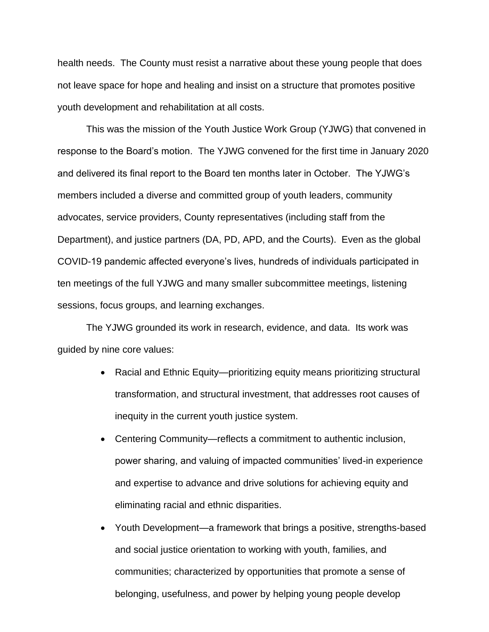health needs. The County must resist a narrative about these young people that does not leave space for hope and healing and insist on a structure that promotes positive youth development and rehabilitation at all costs.

This was the mission of the Youth Justice Work Group (YJWG) that convened in response to the Board's motion. The YJWG convened for the first time in January 2020 and delivered its final report to the Board ten months later in October. The YJWG's members included a diverse and committed group of youth leaders, community advocates, service providers, County representatives (including staff from the Department), and justice partners (DA, PD, APD, and the Courts). Even as the global COVID-19 pandemic affected everyone's lives, hundreds of individuals participated in ten meetings of the full YJWG and many smaller subcommittee meetings, listening sessions, focus groups, and learning exchanges.

The YJWG grounded its work in research, evidence, and data. Its work was guided by nine core values:

- Racial and Ethnic Equity—prioritizing equity means prioritizing structural transformation, and structural investment, that addresses root causes of inequity in the current youth justice system.
- Centering Community—reflects a commitment to authentic inclusion, power sharing, and valuing of impacted communities' lived-in experience and expertise to advance and drive solutions for achieving equity and eliminating racial and ethnic disparities.
- Youth Development—a framework that brings a positive, strengths-based and social justice orientation to working with youth, families, and communities; characterized by opportunities that promote a sense of belonging, usefulness, and power by helping young people develop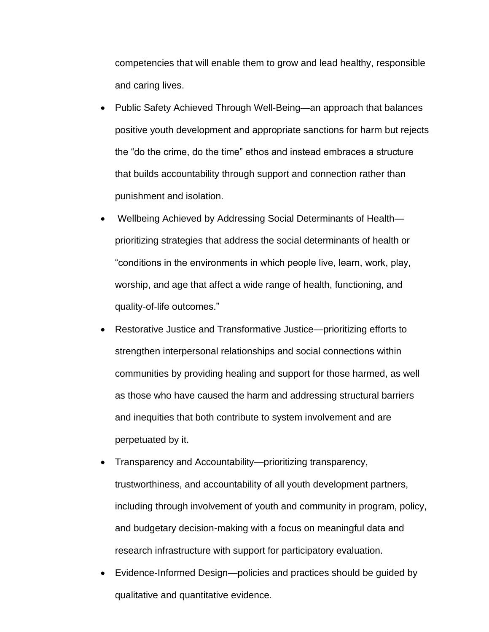competencies that will enable them to grow and lead healthy, responsible and caring lives.

- Public Safety Achieved Through Well-Being—an approach that balances positive youth development and appropriate sanctions for harm but rejects the "do the crime, do the time" ethos and instead embraces a structure that builds accountability through support and connection rather than punishment and isolation.
- Wellbeing Achieved by Addressing Social Determinants of Health prioritizing strategies that address the social determinants of health or "conditions in the environments in which people live, learn, work, play, worship, and age that affect a wide range of health, functioning, and quality-of-life outcomes."
- Restorative Justice and Transformative Justice—prioritizing efforts to strengthen interpersonal relationships and social connections within communities by providing healing and support for those harmed, as well as those who have caused the harm and addressing structural barriers and inequities that both contribute to system involvement and are perpetuated by it.
- Transparency and Accountability—prioritizing transparency, trustworthiness, and accountability of all youth development partners, including through involvement of youth and community in program, policy, and budgetary decision-making with a focus on meaningful data and research infrastructure with support for participatory evaluation.
- Evidence-Informed Design—policies and practices should be guided by qualitative and quantitative evidence.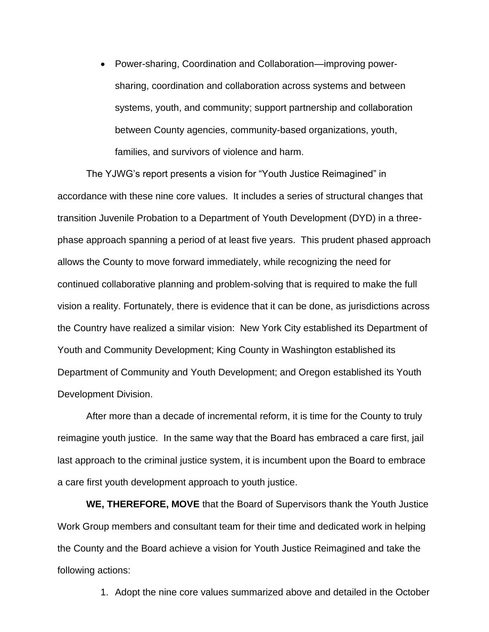• Power-sharing, Coordination and Collaboration—improving powersharing, coordination and collaboration across systems and between systems, youth, and community; support partnership and collaboration between County agencies, community-based organizations, youth, families, and survivors of violence and harm.

The YJWG's report presents a vision for "Youth Justice Reimagined" in accordance with these nine core values. It includes a series of structural changes that transition Juvenile Probation to a Department of Youth Development (DYD) in a threephase approach spanning a period of at least five years. This prudent phased approach allows the County to move forward immediately, while recognizing the need for continued collaborative planning and problem-solving that is required to make the full vision a reality. Fortunately, there is evidence that it can be done, as jurisdictions across the Country have realized a similar vision: New York City established its Department of Youth and Community Development; King County in Washington established its Department of Community and Youth Development; and Oregon established its Youth Development Division.

After more than a decade of incremental reform, it is time for the County to truly reimagine youth justice. In the same way that the Board has embraced a care first, jail last approach to the criminal justice system, it is incumbent upon the Board to embrace a care first youth development approach to youth justice.

**WE, THEREFORE, MOVE** that the Board of Supervisors thank the Youth Justice Work Group members and consultant team for their time and dedicated work in helping the County and the Board achieve a vision for Youth Justice Reimagined and take the following actions:

1. Adopt the nine core values summarized above and detailed in the October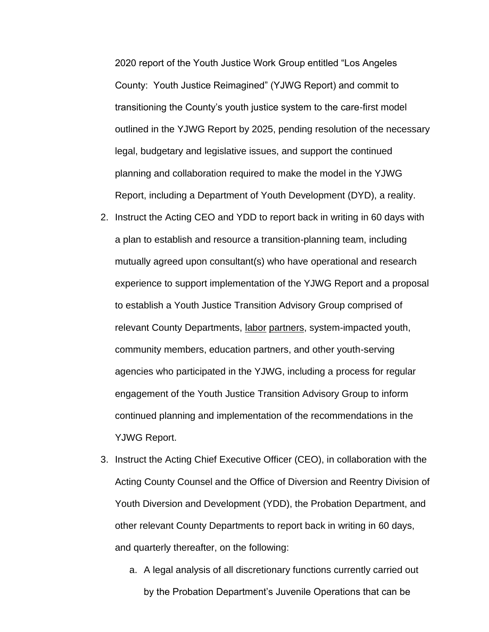2020 report of the Youth Justice Work Group entitled "Los Angeles County: Youth Justice Reimagined" (YJWG Report) and commit to transitioning the County's youth justice system to the care-first model outlined in the YJWG Report by 2025, pending resolution of the necessary legal, budgetary and legislative issues, and support the continued planning and collaboration required to make the model in the YJWG Report, including a Department of Youth Development (DYD), a reality.

- 2. Instruct the Acting CEO and YDD to report back in writing in 60 days with a plan to establish and resource a transition-planning team, including mutually agreed upon consultant(s) who have operational and research experience to support implementation of the YJWG Report and a proposal to establish a Youth Justice Transition Advisory Group comprised of relevant County Departments, labor partners, system-impacted youth, community members, education partners, and other youth-serving agencies who participated in the YJWG, including a process for regular engagement of the Youth Justice Transition Advisory Group to inform continued planning and implementation of the recommendations in the YJWG Report.
- 3. Instruct the Acting Chief Executive Officer (CEO), in collaboration with the Acting County Counsel and the Office of Diversion and Reentry Division of Youth Diversion and Development (YDD), the Probation Department, and other relevant County Departments to report back in writing in 60 days, and quarterly thereafter, on the following:
	- a. A legal analysis of all discretionary functions currently carried out by the Probation Department's Juvenile Operations that can be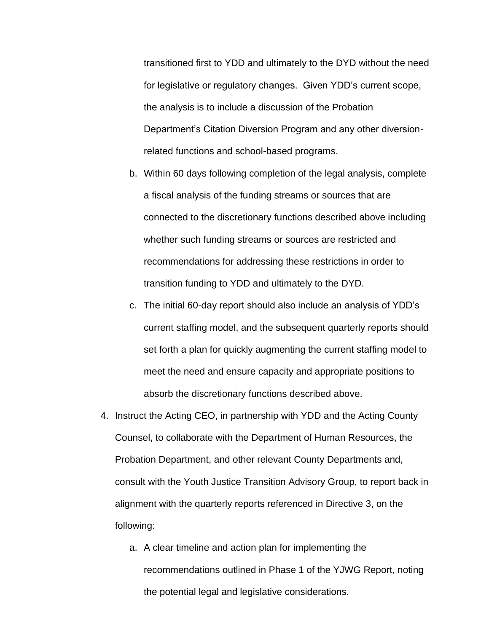transitioned first to YDD and ultimately to the DYD without the need for legislative or regulatory changes. Given YDD's current scope, the analysis is to include a discussion of the Probation Department's Citation Diversion Program and any other diversionrelated functions and school-based programs.

- b. Within 60 days following completion of the legal analysis, complete a fiscal analysis of the funding streams or sources that are connected to the discretionary functions described above including whether such funding streams or sources are restricted and recommendations for addressing these restrictions in order to transition funding to YDD and ultimately to the DYD.
- c. The initial 60-day report should also include an analysis of YDD's current staffing model, and the subsequent quarterly reports should set forth a plan for quickly augmenting the current staffing model to meet the need and ensure capacity and appropriate positions to absorb the discretionary functions described above.
- 4. Instruct the Acting CEO, in partnership with YDD and the Acting County Counsel, to collaborate with the Department of Human Resources, the Probation Department, and other relevant County Departments and, consult with the Youth Justice Transition Advisory Group, to report back in alignment with the quarterly reports referenced in Directive 3, on the following:
	- a. A clear timeline and action plan for implementing the recommendations outlined in Phase 1 of the YJWG Report, noting the potential legal and legislative considerations.